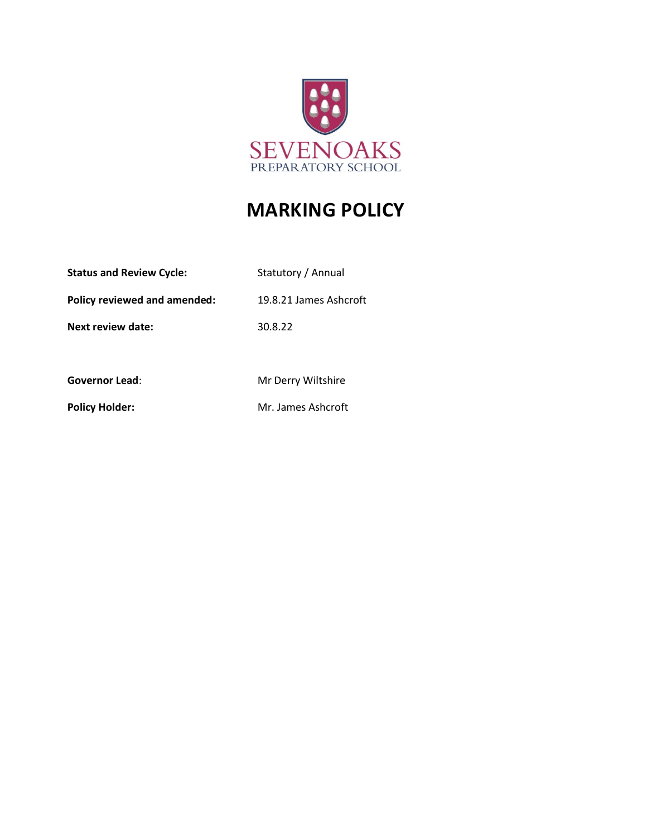

# **MARKING POLICY**

| <b>Status and Review Cycle:</b> | Statutory / Annual     |
|---------------------------------|------------------------|
| Policy reviewed and amended:    | 19.8.21 James Ashcroft |
| Next review date:               | 30.8.22                |
|                                 |                        |
| <b>Governor Lead:</b>           | Mr Derry Wiltshire     |

Policy Holder: Mr. James Ashcroft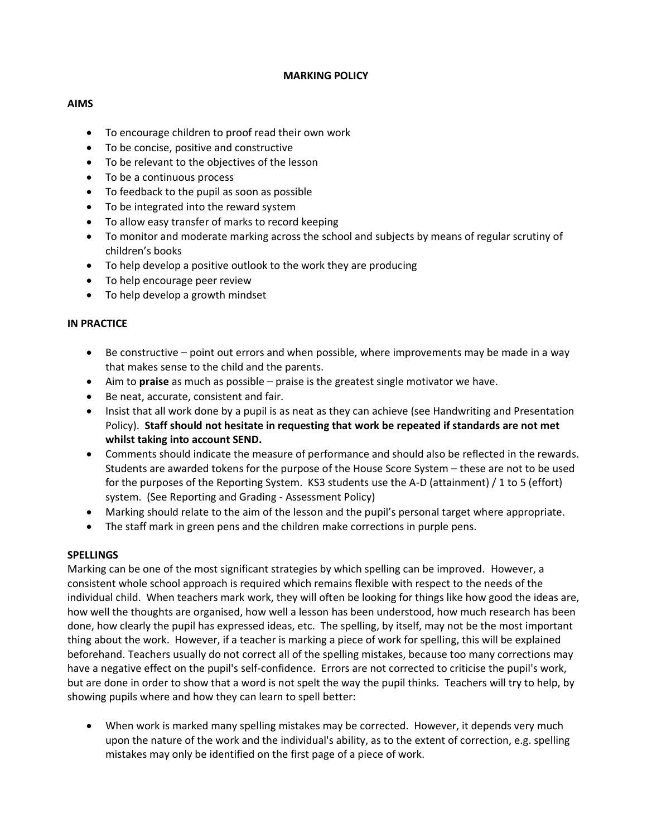### **MARKING POLICY**

## **AIMS**

- To encourage children to proof read their own work
- To be concise, positive and constructive
- To be relevant to the objectives of the lesson
- To be a continuous process
- To feedback to the pupil as soon as possible
- To be integrated into the reward system
- To allow easy transfer of marks to record keeping
- To monitor and moderate marking across the school and subjects by means of regular scrutiny of children's books
- To help develop a positive outlook to the work they are producing
- To help encourage peer review
- To help develop a growth mindset

### **IN PRACTICE**

- Be constructive point out errors and when possible, where improvements may be made in a way that makes sense to the child and the parents.
- Aim to **praise** as much as possible praise is the greatest single motivator we have.
- Be neat, accurate, consistent and fair.
- Insist that all work done by a pupil is as neat as they can achieve (see Handwriting and Presentation Policy). **Staff should not hesitate in requesting that work be repeated if standards are not met whilst taking into account SEND.**
- Comments should indicate the measure of performance and should also be reflected in the rewards. Students are awarded tokens for the purpose of the House Score System – these are not to be used for the purposes of the Reporting System. KS3 students use the A-D (attainment) / 1 to 5 (effort) system. (See Reporting and Grading - Assessment Policy)
- Marking should relate to the aim of the lesson and the pupil's personal target where appropriate.
- The staff mark in green pens and the children make corrections in purple pens.

### **SPELLINGS**

Marking can be one of the most significant strategies by which spelling can be improved. However, a consistent whole school approach is required which remains flexible with respect to the needs of the individual child. When teachers mark work, they will often be looking for things like how good the ideas are, how well the thoughts are organised, how well a lesson has been understood, how much research has been done, how clearly the pupil has expressed ideas, etc. The spelling, by itself, may not be the most important thing about the work. However, if a teacher is marking a piece of work for spelling, this will be explained beforehand. Teachers usually do not correct all of the spelling mistakes, because too many corrections may have a negative effect on the pupil's self-confidence. Errors are not corrected to criticise the pupil's work, but are done in order to show that a word is not spelt the way the pupil thinks. Teachers will try to help, by showing pupils where and how they can learn to spell better:

• When work is marked many spelling mistakes may be corrected. However, it depends very much upon the nature of the work and the individual's ability, as to the extent of correction, e.g. spelling mistakes may only be identified on the first page of a piece of work.